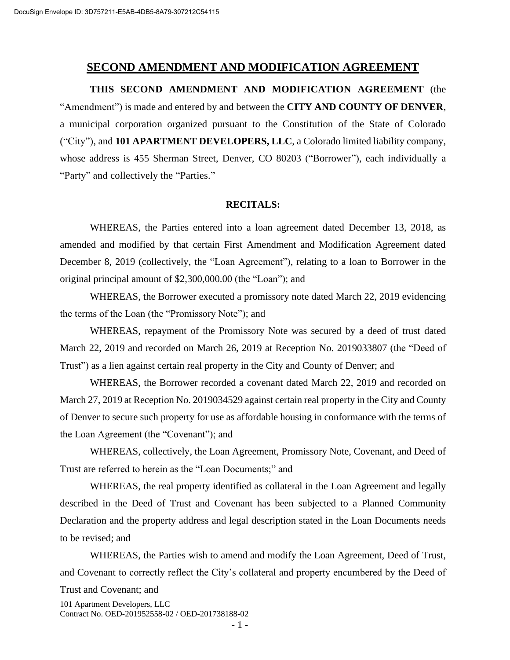#### **SECOND AMENDMENT AND MODIFICATION AGREEMENT**

**THIS SECOND AMENDMENT AND MODIFICATION AGREEMENT** (the "Amendment") is made and entered by and between the **CITY AND COUNTY OF DENVER**, a municipal corporation organized pursuant to the Constitution of the State of Colorado ("City"), and **101 APARTMENT DEVELOPERS, LLC**, a Colorado limited liability company, whose address is 455 Sherman Street, Denver, CO 80203 ("Borrower"), each individually a "Party" and collectively the "Parties."

#### **RECITALS:**

WHEREAS, the Parties entered into a loan agreement dated December 13, 2018, as amended and modified by that certain First Amendment and Modification Agreement dated December 8, 2019 (collectively, the "Loan Agreement"), relating to a loan to Borrower in the original principal amount of \$2,300,000.00 (the "Loan"); and

WHEREAS, the Borrower executed a promissory note dated March 22, 2019 evidencing the terms of the Loan (the "Promissory Note"); and

WHEREAS, repayment of the Promissory Note was secured by a deed of trust dated March 22, 2019 and recorded on March 26, 2019 at Reception No. 2019033807 (the "Deed of Trust") as a lien against certain real property in the City and County of Denver; and

WHEREAS, the Borrower recorded a covenant dated March 22, 2019 and recorded on March 27, 2019 at Reception No. 2019034529 against certain real property in the City and County of Denver to secure such property for use as affordable housing in conformance with the terms of the Loan Agreement (the "Covenant"); and

WHEREAS, collectively, the Loan Agreement, Promissory Note, Covenant, and Deed of Trust are referred to herein as the "Loan Documents;" and

WHEREAS, the real property identified as collateral in the Loan Agreement and legally described in the Deed of Trust and Covenant has been subjected to a Planned Community Declaration and the property address and legal description stated in the Loan Documents needs to be revised; and

WHEREAS, the Parties wish to amend and modify the Loan Agreement, Deed of Trust, and Covenant to correctly reflect the City's collateral and property encumbered by the Deed of

101 Apartment Developers, LLC Contract No. OED-201952558-02 / OED-201738188-02 Trust and Covenant; and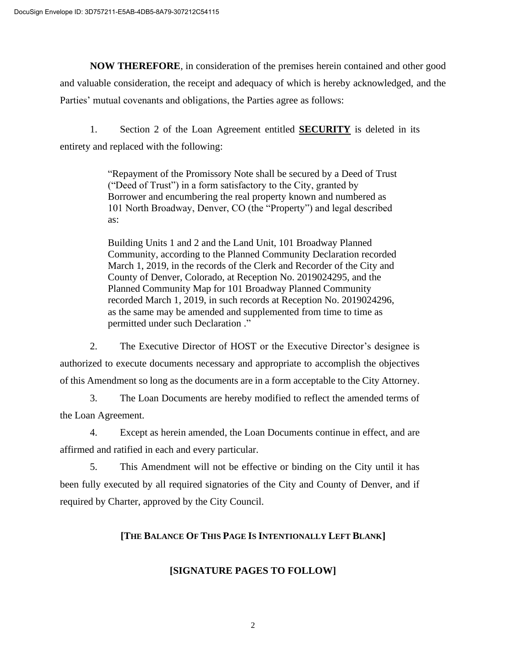**NOW THEREFORE**, in consideration of the premises herein contained and other good and valuable consideration, the receipt and adequacy of which is hereby acknowledged, and the Parties' mutual covenants and obligations, the Parties agree as follows:

1. Section 2 of the Loan Agreement entitled **SECURITY** is deleted in its entirety and replaced with the following:

> "Repayment of the Promissory Note shall be secured by a Deed of Trust ("Deed of Trust") in a form satisfactory to the City, granted by Borrower and encumbering the real property known and numbered as 101 North Broadway, Denver, CO (the "Property") and legal described as:

> Building Units 1 and 2 and the Land Unit, 101 Broadway Planned Community, according to the Planned Community Declaration recorded March 1, 2019, in the records of the Clerk and Recorder of the City and County of Denver, Colorado, at Reception No. 2019024295, and the Planned Community Map for 101 Broadway Planned Community recorded March 1, 2019, in such records at Reception No. 2019024296, as the same may be amended and supplemented from time to time as permitted under such Declaration ."

2. The Executive Director of HOST or the Executive Director's designee is authorized to execute documents necessary and appropriate to accomplish the objectives of this Amendment so long as the documents are in a form acceptable to the City Attorney.

3. The Loan Documents are hereby modified to reflect the amended terms of the Loan Agreement.

4. Except as herein amended, the Loan Documents continue in effect, and are affirmed and ratified in each and every particular.

5. This Amendment will not be effective or binding on the City until it has been fully executed by all required signatories of the City and County of Denver, and if required by Charter, approved by the City Council.

# **[THE BALANCE OF THIS PAGE IS INTENTIONALLY LEFT BLANK]**

# **[SIGNATURE PAGES TO FOLLOW]**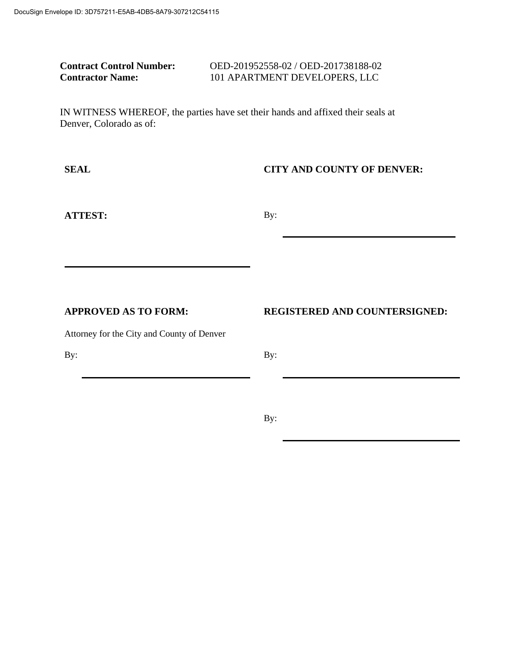| <b>Contract Control Number:</b> | OED-201952558-02 / OED-201738188-02 |
|---------------------------------|-------------------------------------|
| <b>Contractor Name:</b>         | 101 APARTMENT DEVELOPERS, LLC       |

IN WITNESS WHEREOF, the parties have set their hands and affixed their seals at Denver, Colorado as of:

## **SEAL CITY AND COUNTY OF DENVER:**

**ATTEST:** By:

**APPROVED AS TO FORM: REGISTERED AND COUNTERSIGNED:**

Attorney for the City and County of Denver

By:

By:

By: